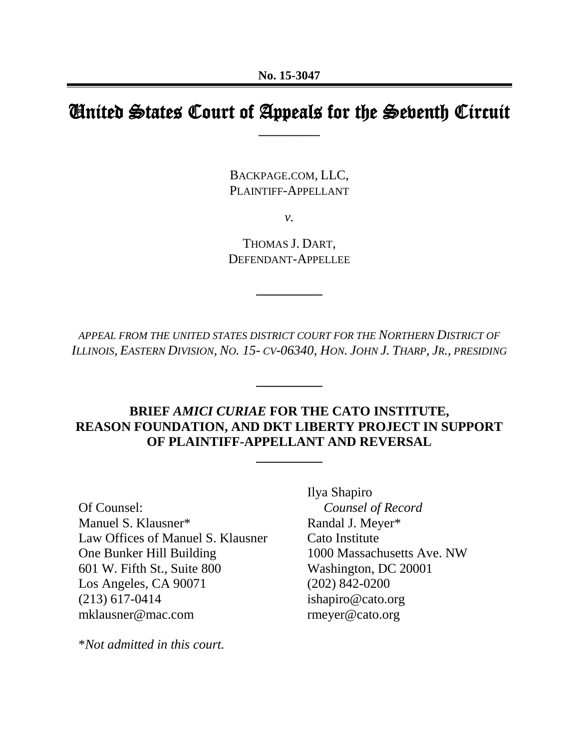# United States Court of Appeals for the Seventh Circuit **\_\_\_\_\_\_\_\_\_\_**

BACKPAGE.COM, LLC, PLAINTIFF-APPELLANT

*v.*

THOMAS J. DART, DEFENDANT-APPELLEE

**\_\_\_\_\_\_\_\_\_\_**

*APPEAL FROM THE UNITED STATES DISTRICT COURT FOR THE NORTHERN DISTRICT OF*  ILLINOIS, EASTERN DIVISION, NO. 15- CV-06340, HON. JOHN J. THARP, JR., PRESIDING

**\_\_\_\_\_\_\_\_\_\_**

# **BRIEF** *AMICI CURIAE* **FOR THE CATO INSTITUTE, REASON FOUNDATION, AND DKT LIBERTY PROJECT IN SUPPORT OF PLAINTIFF-APPELLANT AND REVERSAL**

**\_\_\_\_\_\_\_\_\_\_**

Of Counsel: Manuel S. Klausner\* Law Offices of Manuel S. Klausner One Bunker Hill Building 601 W. Fifth St., Suite 800 Los Angeles, CA 90071 (213) 617-0414 mklausner@mac.com

\**Not admitted in this court.*

Ilya Shapiro *Counsel of Record* Randal J. Meyer\* Cato Institute 1000 Massachusetts Ave. NW Washington, DC 20001 (202) 842-0200 ishapiro@cato.org rmeyer@cato.org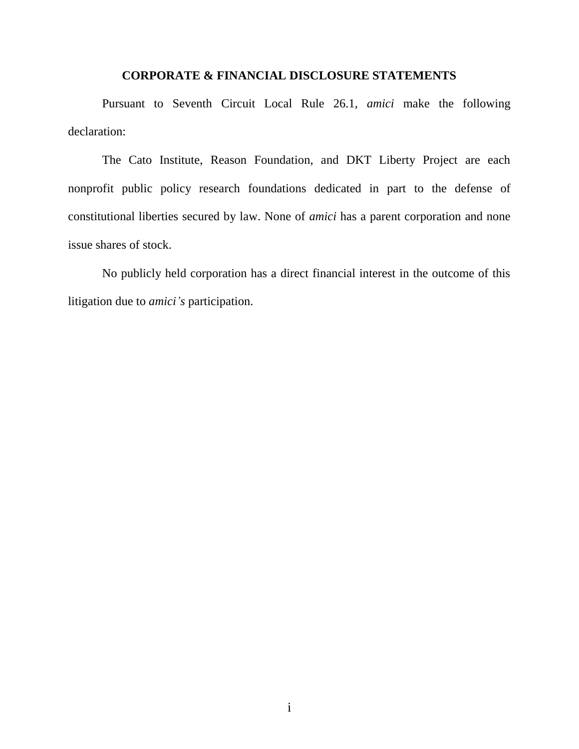#### **CORPORATE & FINANCIAL DISCLOSURE STATEMENTS**

Pursuant to Seventh Circuit Local Rule 26.1, *amici* make the following declaration:

The Cato Institute, Reason Foundation, and DKT Liberty Project are each nonprofit public policy research foundations dedicated in part to the defense of constitutional liberties secured by law. None of *amici* has a parent corporation and none issue shares of stock.

No publicly held corporation has a direct financial interest in the outcome of this litigation due to *amici's* participation.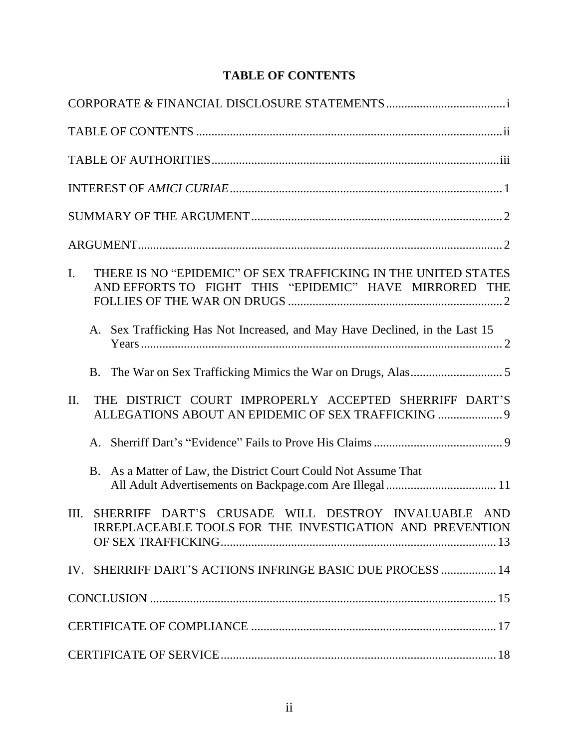# **TABLE OF CONTENTS**

| THERE IS NO "EPIDEMIC" OF SEX TRAFFICKING IN THE UNITED STATES<br>$\mathbf{I}$ .<br>AND EFFORTS TO FIGHT THIS "EPIDEMIC" HAVE MIRRORED THE |
|--------------------------------------------------------------------------------------------------------------------------------------------|
| Sex Trafficking Has Not Increased, and May Have Declined, in the Last 15<br>A.                                                             |
|                                                                                                                                            |
| THE DISTRICT COURT IMPROPERLY ACCEPTED SHERRIFF DART'S<br>II.<br>ALLEGATIONS ABOUT AN EPIDEMIC OF SEX TRAFFICKING  9                       |
| A.                                                                                                                                         |
| B. As a Matter of Law, the District Court Could Not Assume That                                                                            |
| SHERRIFF DART'S CRUSADE WILL DESTROY INVALUABLE AND<br>Ш.<br>IRREPLACEABLE TOOLS FOR THE INVESTIGATION AND PREVENTION                      |
| IV. SHERRIFF DART'S ACTIONS INFRINGE BASIC DUE PROCESS  14                                                                                 |
|                                                                                                                                            |
|                                                                                                                                            |
|                                                                                                                                            |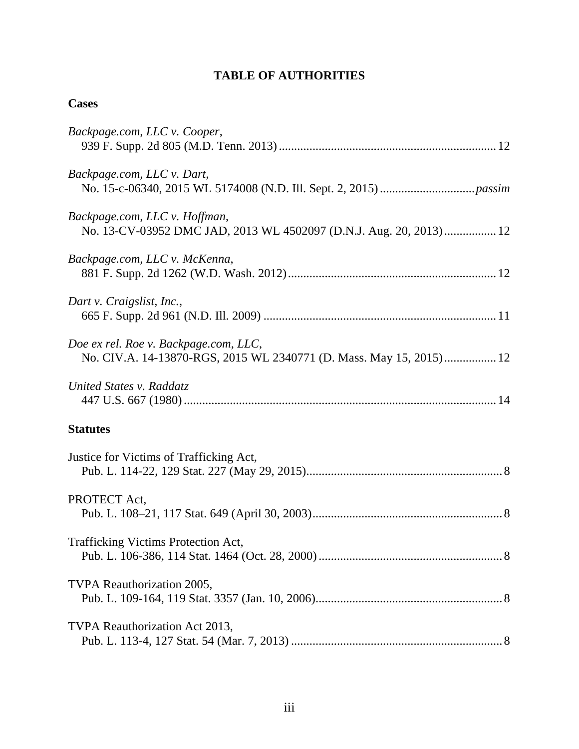# **TABLE OF AUTHORITIES**

| Backpage.com, LLC v. Cooper,                                                                                  |
|---------------------------------------------------------------------------------------------------------------|
| Backpage.com, LLC v. Dart,                                                                                    |
| Backpage.com, LLC v. Hoffman,<br>No. 13-CV-03952 DMC JAD, 2013 WL 4502097 (D.N.J. Aug. 20, 2013)  12          |
| Backpage.com, LLC v. McKenna,                                                                                 |
| Dart v. Craigslist, Inc.,                                                                                     |
| Doe ex rel. Roe v. Backpage.com, LLC,<br>No. CIV.A. 14-13870-RGS, 2015 WL 2340771 (D. Mass. May 15, 2015)  12 |
| United States v. Raddatz                                                                                      |
| <b>Statutes</b>                                                                                               |
| Justice for Victims of Trafficking Act,                                                                       |
| PROTECT Act,                                                                                                  |
| Trafficking Victims Protection Act,                                                                           |
| TVPA Reauthorization 2005,                                                                                    |
| TVPA Reauthorization Act 2013,                                                                                |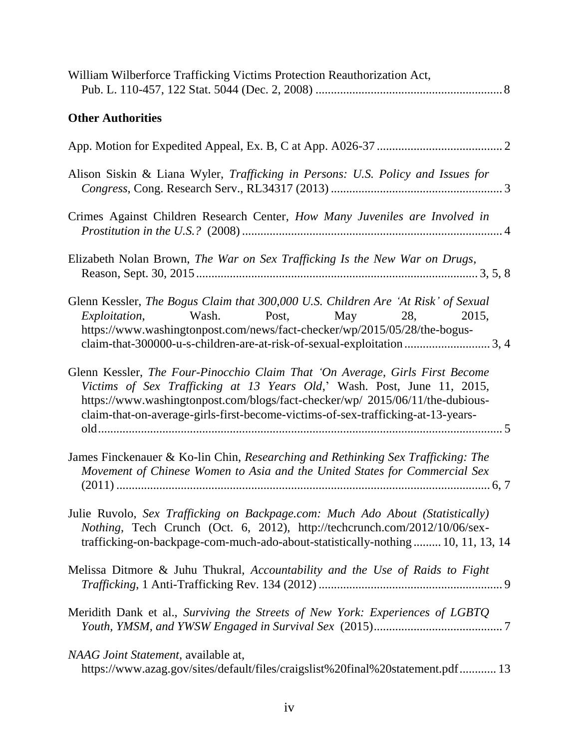| William Wilberforce Trafficking Victims Protection Reauthorization Act,                                                                                                                                                                                                                                                      |
|------------------------------------------------------------------------------------------------------------------------------------------------------------------------------------------------------------------------------------------------------------------------------------------------------------------------------|
| <b>Other Authorities</b>                                                                                                                                                                                                                                                                                                     |
|                                                                                                                                                                                                                                                                                                                              |
| Alison Siskin & Liana Wyler, Trafficking in Persons: U.S. Policy and Issues for                                                                                                                                                                                                                                              |
| Crimes Against Children Research Center, How Many Juveniles are Involved in                                                                                                                                                                                                                                                  |
| Elizabeth Nolan Brown, The War on Sex Trafficking Is the New War on Drugs,                                                                                                                                                                                                                                                   |
| Glenn Kessler, The Bogus Claim that 300,000 U.S. Children Are 'At Risk' of Sexual<br>Exploitation, Wash. Post, May 28, 2015,<br>https://www.washingtonpost.com/news/fact-checker/wp/2015/05/28/the-bogus-<br>claim-that-300000-u-s-children-are-at-risk-of-sexual-exploitation 3, 4                                          |
| Glenn Kessler, The Four-Pinocchio Claim That 'On Average, Girls First Become<br>Victims of Sex Trafficking at 13 Years Old,' Wash. Post, June 11, 2015,<br>https://www.washingtonpost.com/blogs/fact-checker/wp/ 2015/06/11/the-dubious-<br>claim-that-on-average-girls-first-become-victims-of-sex-trafficking-at-13-years- |
| James Finckenauer & Ko-lin Chin, Researching and Rethinking Sex Trafficking: The<br>Movement of Chinese Women to Asia and the United States for Commercial Sex                                                                                                                                                               |
| Julie Ruvolo, Sex Trafficking on Backpage.com: Much Ado About (Statistically)<br>Nothing, Tech Crunch (Oct. 6, 2012), http://techcrunch.com/2012/10/06/sex-<br>trafficking-on-backpage-com-much-ado-about-statistically-nothing  10, 11, 13, 14                                                                              |
| Melissa Ditmore & Juhu Thukral, Accountability and the Use of Raids to Fight                                                                                                                                                                                                                                                 |
| Meridith Dank et al., Surviving the Streets of New York: Experiences of LGBTQ                                                                                                                                                                                                                                                |
| NAAG Joint Statement, available at,<br>https://www.azag.gov/sites/default/files/craigslist%20final%20statement.pdf 13                                                                                                                                                                                                        |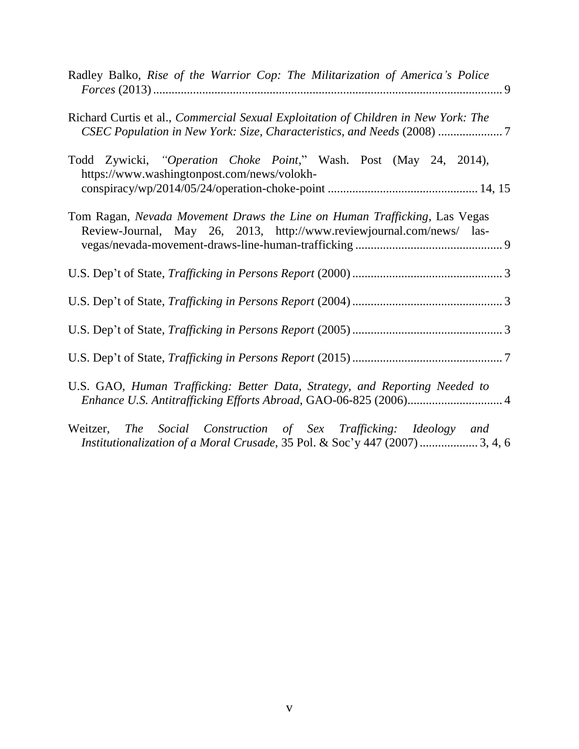| Radley Balko, Rise of the Warrior Cop: The Militarization of America's Police                                                                              |
|------------------------------------------------------------------------------------------------------------------------------------------------------------|
| Richard Curtis et al., Commercial Sexual Exploitation of Children in New York: The<br>CSEC Population in New York: Size, Characteristics, and Needs (2008) |
| Todd Zywicki, "Operation Choke Point," Wash. Post (May 24, 2014),<br>https://www.washingtonpost.com/news/volokh-                                           |
| Tom Ragan, Nevada Movement Draws the Line on Human Trafficking, Las Vegas<br>Review-Journal, May 26, 2013, http://www.reviewjournal.com/news/ las-         |
|                                                                                                                                                            |
|                                                                                                                                                            |
|                                                                                                                                                            |
|                                                                                                                                                            |
| U.S. GAO, Human Trafficking: Better Data, Strategy, and Reporting Needed to<br>Enhance U.S. Antitrafficking Efforts Abroad, GAO-06-825 (2006) 4            |
| Weitzer, The Social Construction of Sex Trafficking: Ideology and<br>Institutionalization of a Moral Crusade, 35 Pol. & Soc'y 447 (2007)  3, 4, 6          |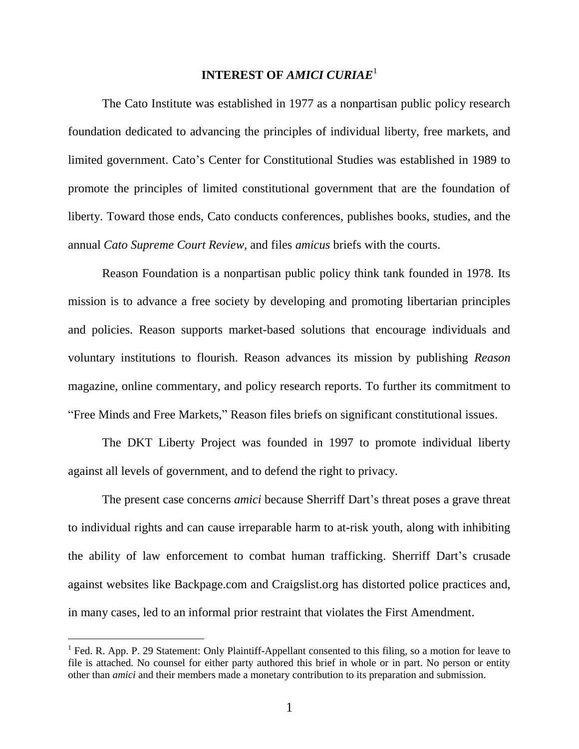### **INTEREST OF** *AMICI CURIAE*<sup>1</sup>

The Cato Institute was established in 1977 as a nonpartisan public policy research foundation dedicated to advancing the principles of individual liberty, free markets, and limited government. Cato's Center for Constitutional Studies was established in 1989 to promote the principles of limited constitutional government that are the foundation of liberty. Toward those ends, Cato conducts conferences, publishes books, studies, and the annual *Cato Supreme Court Review*, and files *amicus* briefs with the courts.

Reason Foundation is a nonpartisan public policy think tank founded in 1978. Its mission is to advance a free society by developing and promoting libertarian principles and policies. Reason supports market-based solutions that encourage individuals and voluntary institutions to flourish. Reason advances its mission by publishing *Reason* magazine, online commentary, and policy research reports. To further its commitment to "Free Minds and Free Markets," Reason files briefs on significant constitutional issues.

The DKT Liberty Project was founded in 1997 to promote individual liberty against all levels of government, and to defend the right to privacy.

The present case concerns *amici* because Sherriff Dart's threat poses a grave threat to individual rights and can cause irreparable harm to at-risk youth, along with inhibiting the ability of law enforcement to combat human trafficking. Sherriff Dart's crusade against websites like Backpage.com and Craigslist.org has distorted police practices and, in many cases, led to an informal prior restraint that violates the First Amendment.

 $\overline{a}$ 

 $<sup>1</sup>$  Fed. R. App. P. 29 Statement: Only Plaintiff-Appellant consented to this filing, so a motion for leave to</sup> file is attached. No counsel for either party authored this brief in whole or in part. No person or entity other than *amici* and their members made a monetary contribution to its preparation and submission.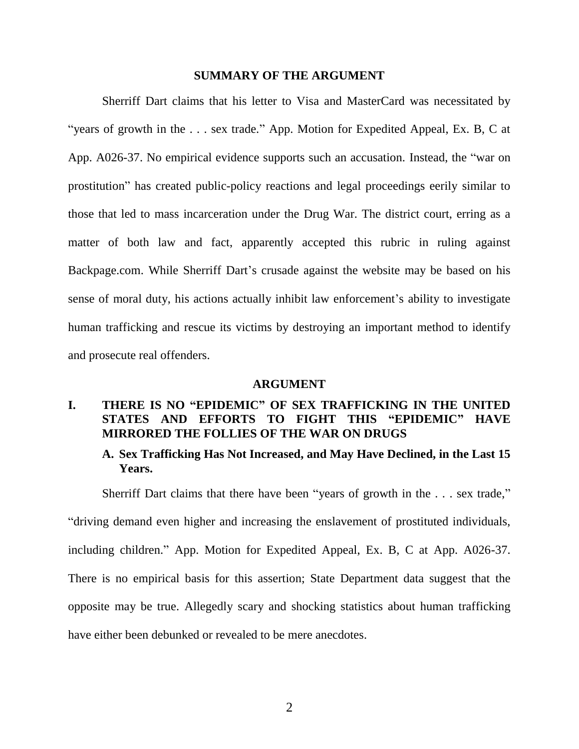#### **SUMMARY OF THE ARGUMENT**

Sherriff Dart claims that his letter to Visa and MasterCard was necessitated by "years of growth in the . . . sex trade." App. Motion for Expedited Appeal, Ex. B, C at App. A026-37. No empirical evidence supports such an accusation. Instead, the "war on prostitution" has created public-policy reactions and legal proceedings eerily similar to those that led to mass incarceration under the Drug War. The district court, erring as a matter of both law and fact, apparently accepted this rubric in ruling against Backpage.com. While Sherriff Dart's crusade against the website may be based on his sense of moral duty, his actions actually inhibit law enforcement's ability to investigate human trafficking and rescue its victims by destroying an important method to identify and prosecute real offenders.

#### **ARGUMENT**

## **I. THERE IS NO "EPIDEMIC" OF SEX TRAFFICKING IN THE UNITED STATES AND EFFORTS TO FIGHT THIS "EPIDEMIC" HAVE MIRRORED THE FOLLIES OF THE WAR ON DRUGS**

### **A. Sex Trafficking Has Not Increased, and May Have Declined, in the Last 15 Years.**

Sherriff Dart claims that there have been "years of growth in the . . . sex trade,"

"driving demand even higher and increasing the enslavement of prostituted individuals,

including children." App. Motion for Expedited Appeal, Ex. B, C at App. A026-37.

There is no empirical basis for this assertion; State Department data suggest that the

opposite may be true. Allegedly scary and shocking statistics about human trafficking

have either been debunked or revealed to be mere anecdotes.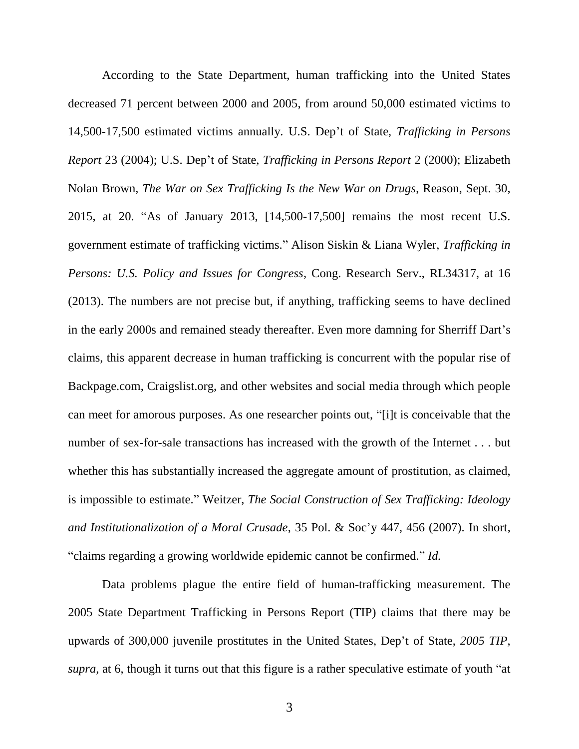According to the State Department, human trafficking into the United States decreased 71 percent between 2000 and 2005, from around 50,000 estimated victims to 14,500-17,500 estimated victims annually. U.S. Dep't of State, *Trafficking in Persons Report* 23 (2004); U.S. Dep't of State, *Trafficking in Persons Report* 2 (2000); Elizabeth Nolan Brown, *The War on Sex Trafficking Is the New War on Drugs*, Reason, Sept. 30, 2015, at 20. "As of January 2013, [14,500-17,500] remains the most recent U.S. government estimate of trafficking victims." Alison Siskin & Liana Wyler, *Trafficking in Persons: U.S. Policy and Issues for Congress*, Cong. Research Serv., RL34317, at 16 (2013). The numbers are not precise but, if anything, trafficking seems to have declined in the early 2000s and remained steady thereafter. Even more damning for Sherriff Dart's claims, this apparent decrease in human trafficking is concurrent with the popular rise of Backpage.com, Craigslist.org, and other websites and social media through which people can meet for amorous purposes. As one researcher points out, "[i]t is conceivable that the number of sex-for-sale transactions has increased with the growth of the Internet . . . but whether this has substantially increased the aggregate amount of prostitution, as claimed, is impossible to estimate." Weitzer, *The Social Construction of Sex Trafficking: Ideology and Institutionalization of a Moral Crusade*, 35 Pol. & Soc'y 447, 456 (2007). In short, "claims regarding a growing worldwide epidemic cannot be confirmed." *Id.*

Data problems plague the entire field of human-trafficking measurement. The 2005 State Department Trafficking in Persons Report (TIP) claims that there may be upwards of 300,000 juvenile prostitutes in the United States, Dep't of State, *2005 TIP*, *supra*, at 6, though it turns out that this figure is a rather speculative estimate of youth "at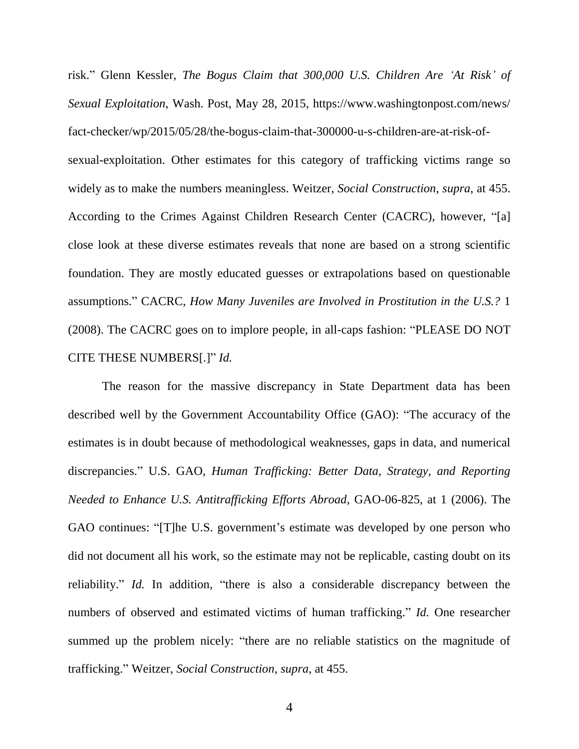risk." Glenn Kessler, *The Bogus Claim that 300,000 U.S. Children Are 'At Risk' of Sexual Exploitation*, Wash. Post, May 28, 2015, https://www.washingtonpost.com/news/ fact-checker/wp/2015/05/28/the-bogus-claim-that-300000-u-s-children-are-at-risk-ofsexual-exploitation. Other estimates for this category of trafficking victims range so widely as to make the numbers meaningless. Weitzer, *Social Construction*, *supra*, at 455. According to the Crimes Against Children Research Center (CACRC), however, "[a] close look at these diverse estimates reveals that none are based on a strong scientific foundation. They are mostly educated guesses or extrapolations based on questionable assumptions." CACRC, *How Many Juveniles are Involved in Prostitution in the U.S.?* 1 (2008). The CACRC goes on to implore people, in all-caps fashion: "PLEASE DO NOT CITE THESE NUMBERS[.]" *Id.*

The reason for the massive discrepancy in State Department data has been described well by the Government Accountability Office (GAO): "The accuracy of the estimates is in doubt because of methodological weaknesses, gaps in data, and numerical discrepancies." U.S. GAO, *Human Trafficking: Better Data, Strategy, and Reporting Needed to Enhance U.S. Antitrafficking Efforts Abroad*, GAO-06-825, at 1 (2006). The GAO continues: "[T]he U.S. government's estimate was developed by one person who did not document all his work, so the estimate may not be replicable, casting doubt on its reliability." *Id.* In addition, "there is also a considerable discrepancy between the numbers of observed and estimated victims of human trafficking." *Id.* One researcher summed up the problem nicely: "there are no reliable statistics on the magnitude of trafficking." Weitzer, *Social Construction*, *supra*, at 455.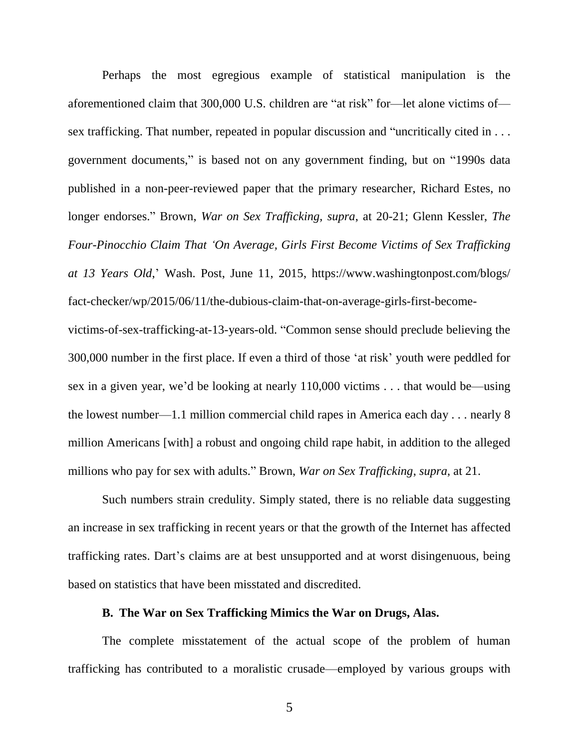Perhaps the most egregious example of statistical manipulation is the aforementioned claim that 300,000 U.S. children are "at risk" for—let alone victims of sex trafficking. That number, repeated in popular discussion and "uncritically cited in . . . government documents," is based not on any government finding, but on "1990s data published in a non-peer-reviewed paper that the primary researcher, Richard Estes, no longer endorses." Brown, *War on Sex Trafficking, supra*, at 20-21; Glenn Kessler, *The Four-Pinocchio Claim That 'On Average, Girls First Become Victims of Sex Trafficking at 13 Years Old*,' Wash. Post, June 11, 2015, https://www.washingtonpost.com/blogs/ fact-checker/wp/2015/06/11/the-dubious-claim-that-on-average-girls-first-becomevictims-of-sex-trafficking-at-13-years-old. "Common sense should preclude believing the

300,000 number in the first place. If even a third of those 'at risk' youth were peddled for sex in a given year, we'd be looking at nearly 110,000 victims . . . that would be—using the lowest number—1.1 million commercial child rapes in America each day . . . nearly 8 million Americans [with] a robust and ongoing child rape habit, in addition to the alleged millions who pay for sex with adults." Brown, *War on Sex Trafficking*, *supra*, at 21.

Such numbers strain credulity. Simply stated, there is no reliable data suggesting an increase in sex trafficking in recent years or that the growth of the Internet has affected trafficking rates. Dart's claims are at best unsupported and at worst disingenuous, being based on statistics that have been misstated and discredited.

#### **B. The War on Sex Trafficking Mimics the War on Drugs, Alas.**

The complete misstatement of the actual scope of the problem of human trafficking has contributed to a moralistic crusade—employed by various groups with

5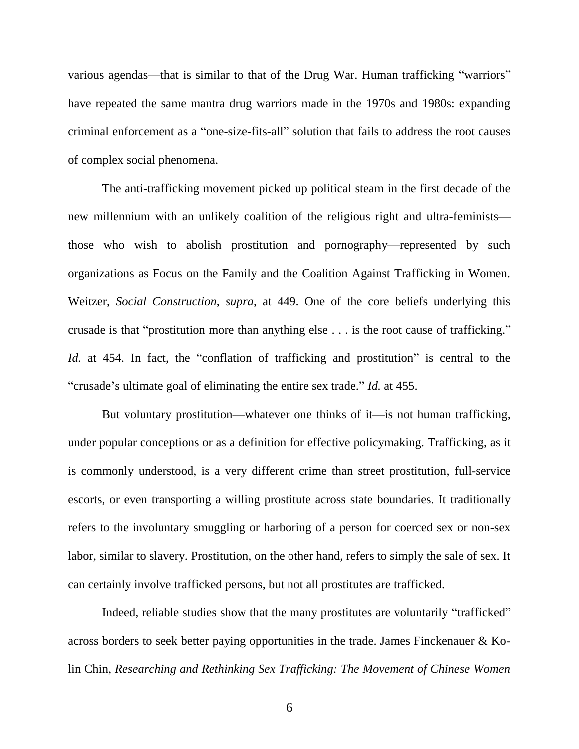various agendas—that is similar to that of the Drug War. Human trafficking "warriors" have repeated the same mantra drug warriors made in the 1970s and 1980s: expanding criminal enforcement as a "one-size-fits-all" solution that fails to address the root causes of complex social phenomena.

The anti-trafficking movement picked up political steam in the first decade of the new millennium with an unlikely coalition of the religious right and ultra-feminists those who wish to abolish prostitution and pornography—represented by such organizations as Focus on the Family and the Coalition Against Trafficking in Women. Weitzer, *Social Construction*, *supra*, at 449. One of the core beliefs underlying this crusade is that "prostitution more than anything else . . . is the root cause of trafficking." *Id.* at 454. In fact, the "conflation of trafficking and prostitution" is central to the "crusade's ultimate goal of eliminating the entire sex trade." *Id.* at 455.

But voluntary prostitution—whatever one thinks of it—is not human trafficking, under popular conceptions or as a definition for effective policymaking. Trafficking, as it is commonly understood, is a very different crime than street prostitution, full-service escorts, or even transporting a willing prostitute across state boundaries. It traditionally refers to the involuntary smuggling or harboring of a person for coerced sex or non-sex labor, similar to slavery. Prostitution, on the other hand, refers to simply the sale of sex. It can certainly involve trafficked persons, but not all prostitutes are trafficked.

Indeed, reliable studies show that the many prostitutes are voluntarily "trafficked" across borders to seek better paying opportunities in the trade. James Finckenauer & Kolin Chin, *Researching and Rethinking Sex Trafficking: The Movement of Chinese Women*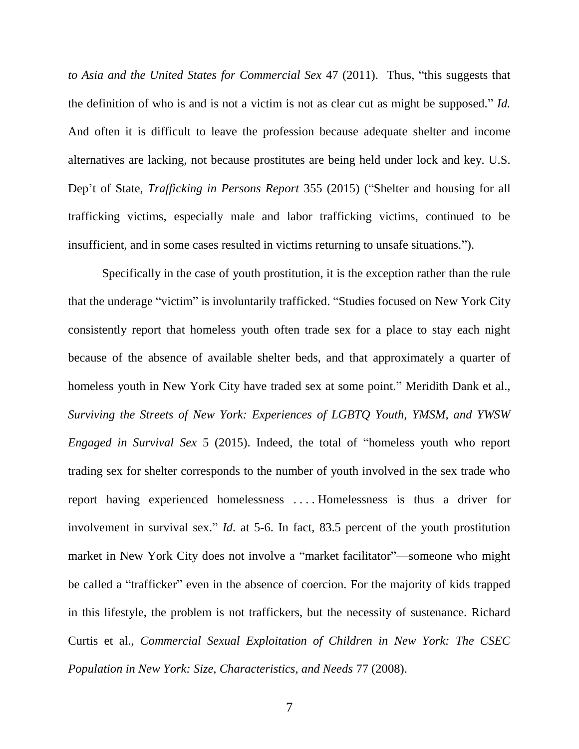*to Asia and the United States for Commercial Sex* 47 (2011). Thus, "this suggests that the definition of who is and is not a victim is not as clear cut as might be supposed." *Id.* And often it is difficult to leave the profession because adequate shelter and income alternatives are lacking, not because prostitutes are being held under lock and key. U.S. Dep't of State, *Trafficking in Persons Report* 355 (2015) ("Shelter and housing for all trafficking victims, especially male and labor trafficking victims, continued to be insufficient, and in some cases resulted in victims returning to unsafe situations.").

Specifically in the case of youth prostitution, it is the exception rather than the rule that the underage "victim" is involuntarily trafficked. "Studies focused on New York City consistently report that homeless youth often trade sex for a place to stay each night because of the absence of available shelter beds, and that approximately a quarter of homeless youth in New York City have traded sex at some point." Meridith Dank et al., *Surviving the Streets of New York: Experiences of LGBTQ Youth, YMSM, and YWSW Engaged in Survival Sex* 5 (2015). Indeed, the total of "homeless youth who report trading sex for shelter corresponds to the number of youth involved in the sex trade who report having experienced homelessness . . . . Homelessness is thus a driver for involvement in survival sex." *Id*. at 5-6. In fact, 83.5 percent of the youth prostitution market in New York City does not involve a "market facilitator"—someone who might be called a "trafficker" even in the absence of coercion. For the majority of kids trapped in this lifestyle, the problem is not traffickers, but the necessity of sustenance. Richard Curtis et al., *Commercial Sexual Exploitation of Children in New York: The CSEC Population in New York: Size, Characteristics, and Needs* 77 (2008).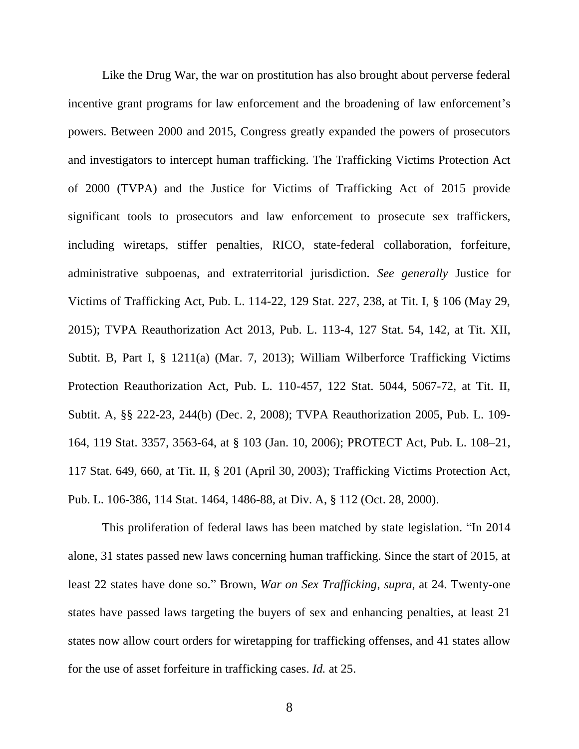Like the Drug War, the war on prostitution has also brought about perverse federal incentive grant programs for law enforcement and the broadening of law enforcement's powers. Between 2000 and 2015, Congress greatly expanded the powers of prosecutors and investigators to intercept human trafficking. The Trafficking Victims Protection Act of 2000 (TVPA) and the Justice for Victims of Trafficking Act of 2015 provide significant tools to prosecutors and law enforcement to prosecute sex traffickers, including wiretaps, stiffer penalties, RICO, state-federal collaboration, forfeiture, administrative subpoenas, and extraterritorial jurisdiction. *See generally* Justice for Victims of Trafficking Act, Pub. L. 114-22, 129 Stat. 227, 238, at Tit. I, § 106 (May 29, 2015); TVPA Reauthorization Act 2013, Pub. L. 113-4, 127 Stat. 54, 142, at Tit. XII, Subtit. B, Part I, § 1211(a) (Mar. 7, 2013); William Wilberforce Trafficking Victims Protection Reauthorization Act, Pub. L. 110-457, 122 Stat. 5044, 5067-72, at Tit. II, Subtit. A, §§ 222-23, 244(b) (Dec. 2, 2008); TVPA Reauthorization 2005, Pub. L. 109- 164, 119 Stat. 3357, 3563-64, at § 103 (Jan. 10, 2006); PROTECT Act, Pub. L. 108–21, 117 Stat. 649, 660, at Tit. II, § 201 (April 30, 2003); Trafficking Victims Protection Act, Pub. L. 106-386, 114 Stat. 1464, 1486-88, at Div. A, § 112 (Oct. 28, 2000).

This proliferation of federal laws has been matched by state legislation. "In 2014 alone, 31 states passed new laws concerning human trafficking. Since the start of 2015, at least 22 states have done so." Brown, *War on Sex Trafficking*, *supra*, at 24. Twenty-one states have passed laws targeting the buyers of sex and enhancing penalties, at least 21 states now allow court orders for wiretapping for trafficking offenses, and 41 states allow for the use of asset forfeiture in trafficking cases. *Id.* at 25.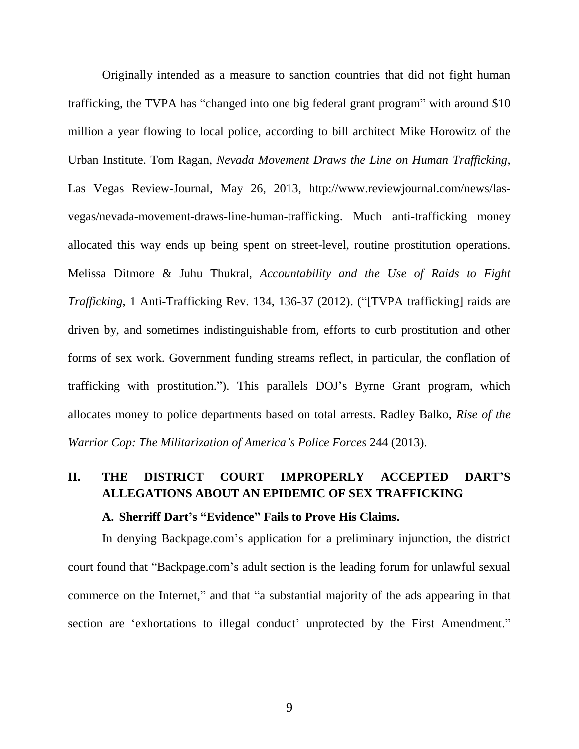Originally intended as a measure to sanction countries that did not fight human trafficking, the TVPA has "changed into one big federal grant program" with around \$10 million a year flowing to local police, according to bill architect Mike Horowitz of the Urban Institute. Tom Ragan, *Nevada Movement Draws the Line on Human Trafficking*, Las Vegas Review-Journal, May 26, 2013, http://www.reviewjournal.com/news/lasvegas/nevada-movement-draws-line-human-trafficking. Much anti-trafficking money allocated this way ends up being spent on street-level, routine prostitution operations. Melissa Ditmore & Juhu Thukral, *Accountability and the Use of Raids to Fight Trafficking*, 1 Anti-Trafficking Rev. 134, 136-37 (2012). ("[TVPA trafficking] raids are driven by, and sometimes indistinguishable from, efforts to curb prostitution and other forms of sex work. Government funding streams reflect, in particular, the conflation of trafficking with prostitution."). This parallels DOJ's Byrne Grant program, which allocates money to police departments based on total arrests. Radley Balko, *Rise of the Warrior Cop: The Militarization of America's Police Forces* 244 (2013).

# **II. THE DISTRICT COURT IMPROPERLY ACCEPTED DART'S ALLEGATIONS ABOUT AN EPIDEMIC OF SEX TRAFFICKING**

#### **A. Sherriff Dart's "Evidence" Fails to Prove His Claims.**

In denying Backpage.com's application for a preliminary injunction, the district court found that "Backpage.com's adult section is the leading forum for unlawful sexual commerce on the Internet," and that "a substantial majority of the ads appearing in that section are 'exhortations to illegal conduct' unprotected by the First Amendment."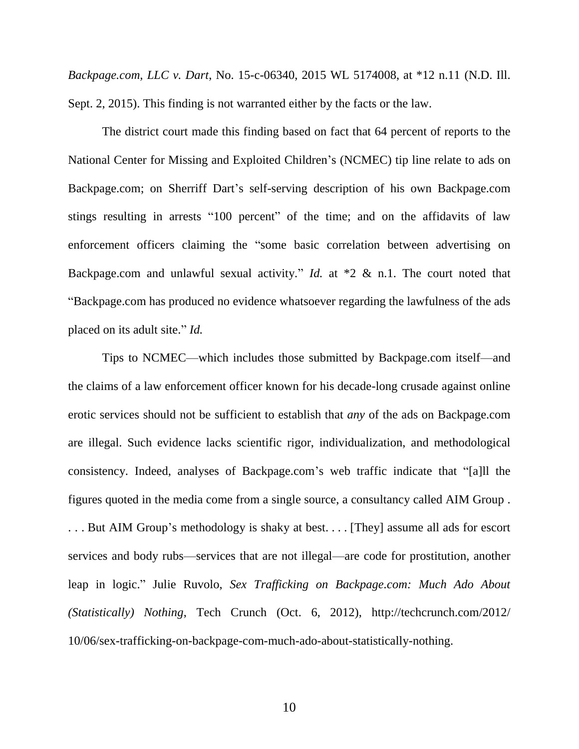*Backpage.com, LLC v. Dart*, No. 15-c-06340, 2015 WL 5174008, at \*12 n.11 (N.D. Ill. Sept. 2, 2015). This finding is not warranted either by the facts or the law.

The district court made this finding based on fact that 64 percent of reports to the National Center for Missing and Exploited Children's (NCMEC) tip line relate to ads on Backpage.com; on Sherriff Dart's self-serving description of his own Backpage.com stings resulting in arrests "100 percent" of the time; and on the affidavits of law enforcement officers claiming the "some basic correlation between advertising on Backpage.com and unlawful sexual activity." *Id.* at \*2 & n.1. The court noted that "Backpage.com has produced no evidence whatsoever regarding the lawfulness of the ads placed on its adult site." *Id.* 

Tips to NCMEC—which includes those submitted by Backpage.com itself—and the claims of a law enforcement officer known for his decade-long crusade against online erotic services should not be sufficient to establish that *any* of the ads on Backpage.com are illegal. Such evidence lacks scientific rigor, individualization, and methodological consistency. Indeed, analyses of Backpage.com's web traffic indicate that "[a]ll the figures quoted in the media come from a single source, a consultancy called AIM Group . . . . But AIM Group's methodology is shaky at best. . . . [They] assume all ads for escort services and body rubs—services that are not illegal—are code for prostitution, another leap in logic." Julie Ruvolo, *Sex Trafficking on Backpage.com: Much Ado About (Statistically) Nothing*, Tech Crunch (Oct. 6, 2012), http://techcrunch.com/2012/

10/06/sex-trafficking-on-backpage-com-much-ado-about-statistically-nothing.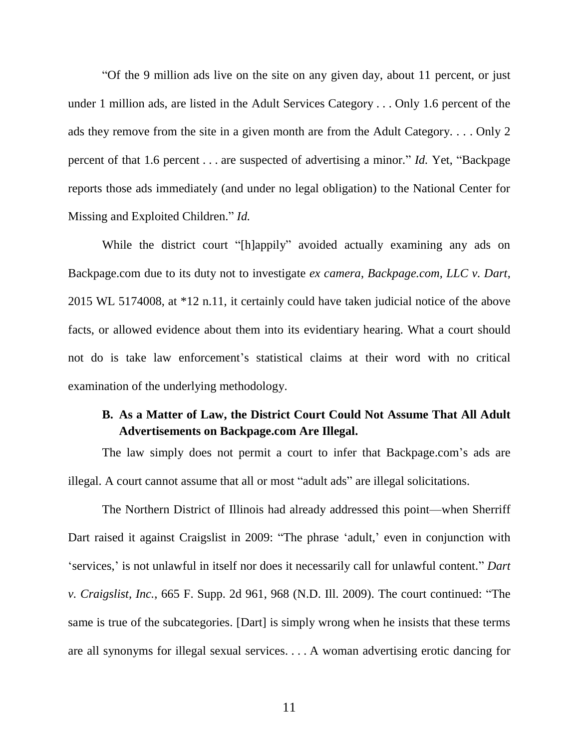"Of the 9 million ads live on the site on any given day, about 11 percent, or just under 1 million ads, are listed in the Adult Services Category . . . Only 1.6 percent of the ads they remove from the site in a given month are from the Adult Category. . . . Only 2 percent of that 1.6 percent . . . are suspected of advertising a minor." *Id.* Yet, "Backpage reports those ads immediately (and under no legal obligation) to the National Center for Missing and Exploited Children." *Id.* 

While the district court "[h]appily" avoided actually examining any ads on Backpage.com due to its duty not to investigate *ex camera*, *Backpage.com, LLC v. Dart*, 2015 WL 5174008, at \*12 n.11, it certainly could have taken judicial notice of the above facts, or allowed evidence about them into its evidentiary hearing. What a court should not do is take law enforcement's statistical claims at their word with no critical examination of the underlying methodology.

## **B. As a Matter of Law, the District Court Could Not Assume That All Adult Advertisements on Backpage.com Are Illegal.**

The law simply does not permit a court to infer that Backpage.com's ads are illegal. A court cannot assume that all or most "adult ads" are illegal solicitations.

The Northern District of Illinois had already addressed this point—when Sherriff Dart raised it against Craigslist in 2009: "The phrase 'adult,' even in conjunction with 'services,' is not unlawful in itself nor does it necessarily call for unlawful content." *Dart v. Craigslist, Inc.*, 665 F. Supp. 2d 961, 968 (N.D. Ill. 2009). The court continued: "The same is true of the subcategories. [Dart] is simply wrong when he insists that these terms are all synonyms for illegal sexual services. . . . A woman advertising erotic dancing for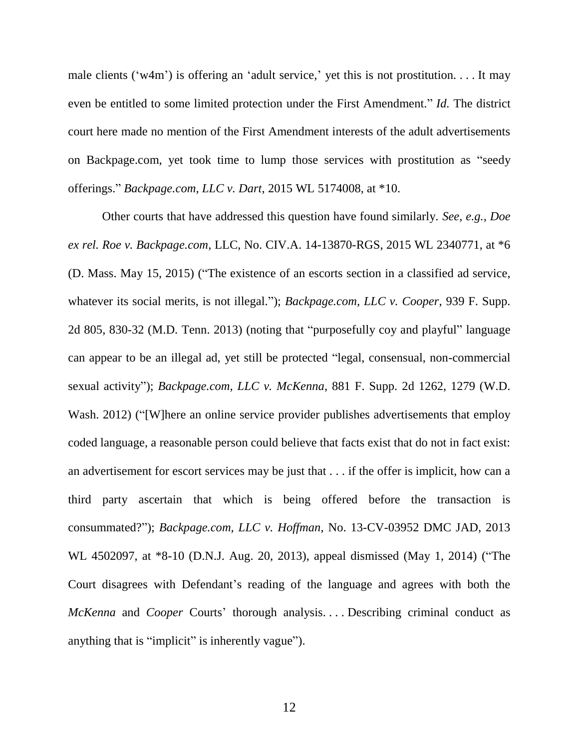male clients ('w4m') is offering an 'adult service,' yet this is not prostitution.... It may even be entitled to some limited protection under the First Amendment." *Id.* The district court here made no mention of the First Amendment interests of the adult advertisements on Backpage.com, yet took time to lump those services with prostitution as "seedy offerings." *Backpage.com, LLC v. Dart*, 2015 WL 5174008, at \*10.

Other courts that have addressed this question have found similarly. *See, e.g., Doe ex rel. Roe v. Backpage.com*, LLC, No. CIV.A. 14-13870-RGS, 2015 WL 2340771, at \*6 (D. Mass. May 15, 2015) ("The existence of an escorts section in a classified ad service, whatever its social merits, is not illegal."); *Backpage.com, LLC v. Cooper*, 939 F. Supp. 2d 805, 830-32 (M.D. Tenn. 2013) (noting that "purposefully coy and playful" language can appear to be an illegal ad, yet still be protected "legal, consensual, non-commercial sexual activity"); *Backpage.com, LLC v. McKenna*, 881 F. Supp. 2d 1262, 1279 (W.D. Wash. 2012) ("[W]here an online service provider publishes advertisements that employ coded language, a reasonable person could believe that facts exist that do not in fact exist: an advertisement for escort services may be just that . . . if the offer is implicit, how can a third party ascertain that which is being offered before the transaction is consummated?"); *Backpage.com, LLC v. Hoffman*, No. 13-CV-03952 DMC JAD, 2013 WL 4502097, at \*8-10 (D.N.J. Aug. 20, 2013), appeal dismissed (May 1, 2014) ("The Court disagrees with Defendant's reading of the language and agrees with both the *McKenna* and *Cooper* Courts' thorough analysis. . . . Describing criminal conduct as anything that is "implicit" is inherently vague").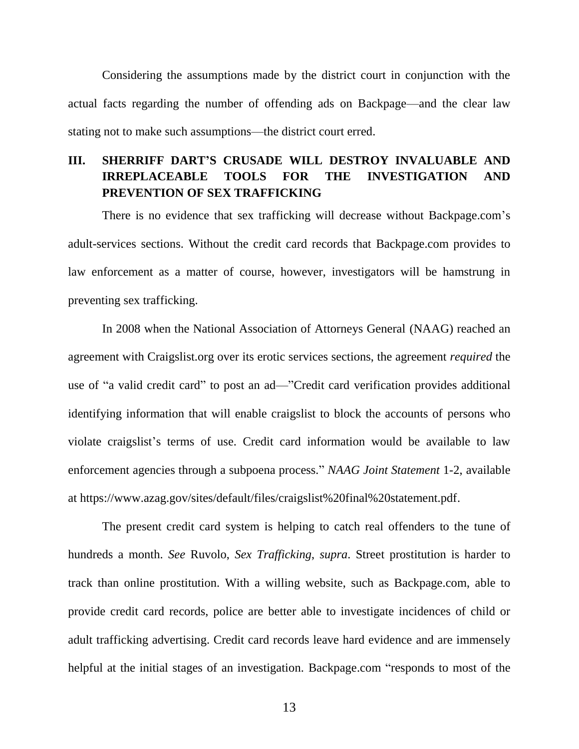Considering the assumptions made by the district court in conjunction with the actual facts regarding the number of offending ads on Backpage—and the clear law stating not to make such assumptions—the district court erred.

## **III. SHERRIFF DART'S CRUSADE WILL DESTROY INVALUABLE AND IRREPLACEABLE TOOLS FOR THE INVESTIGATION AND PREVENTION OF SEX TRAFFICKING**

There is no evidence that sex trafficking will decrease without Backpage.com's adult-services sections. Without the credit card records that Backpage.com provides to law enforcement as a matter of course, however, investigators will be hamstrung in preventing sex trafficking.

In 2008 when the National Association of Attorneys General (NAAG) reached an agreement with Craigslist.org over its erotic services sections, the agreement *required* the use of "a valid credit card" to post an ad—"Credit card verification provides additional identifying information that will enable craigslist to block the accounts of persons who violate craigslist's terms of use. Credit card information would be available to law enforcement agencies through a subpoena process." *NAAG Joint Statement* 1-2, available at https://www.azag.gov/sites/default/files/craigslist%20final%20statement.pdf.

The present credit card system is helping to catch real offenders to the tune of hundreds a month. *See* Ruvolo, *Sex Trafficking*, *supra*. Street prostitution is harder to track than online prostitution. With a willing website, such as Backpage.com, able to provide credit card records, police are better able to investigate incidences of child or adult trafficking advertising. Credit card records leave hard evidence and are immensely helpful at the initial stages of an investigation. Backpage.com "responds to most of the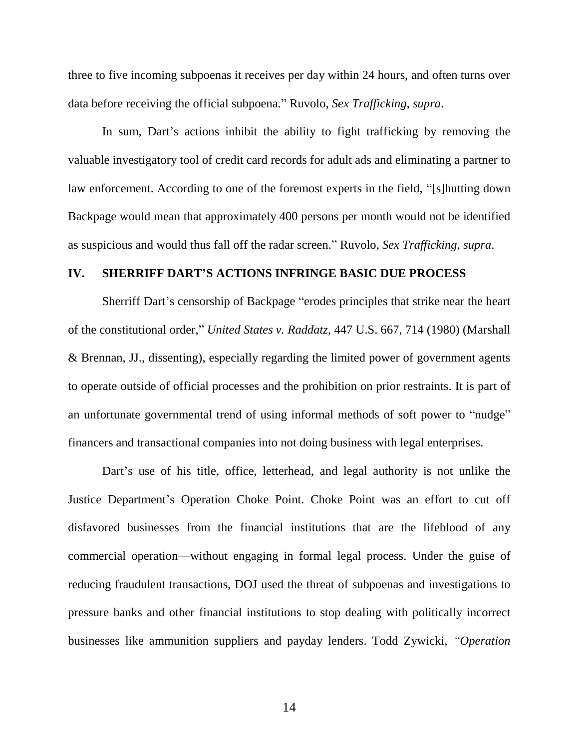three to five incoming subpoenas it receives per day within 24 hours, and often turns over data before receiving the official subpoena." Ruvolo, *Sex Trafficking*, *supra*.

In sum, Dart's actions inhibit the ability to fight trafficking by removing the valuable investigatory tool of credit card records for adult ads and eliminating a partner to law enforcement. According to one of the foremost experts in the field, "[s]hutting down Backpage would mean that approximately 400 persons per month would not be identified as suspicious and would thus fall off the radar screen." Ruvolo, *Sex Trafficking*, *supra*.

#### **IV. SHERRIFF DART'S ACTIONS INFRINGE BASIC DUE PROCESS**

Sherriff Dart's censorship of Backpage "erodes principles that strike near the heart of the constitutional order," *United States v. Raddatz*, 447 U.S. 667, 714 (1980) (Marshall & Brennan, JJ., dissenting), especially regarding the limited power of government agents to operate outside of official processes and the prohibition on prior restraints. It is part of an unfortunate governmental trend of using informal methods of soft power to "nudge" financers and transactional companies into not doing business with legal enterprises.

Dart's use of his title, office, letterhead, and legal authority is not unlike the Justice Department's Operation Choke Point. Choke Point was an effort to cut off disfavored businesses from the financial institutions that are the lifeblood of any commercial operation—without engaging in formal legal process. Under the guise of reducing fraudulent transactions, DOJ used the threat of subpoenas and investigations to pressure banks and other financial institutions to stop dealing with politically incorrect businesses like ammunition suppliers and payday lenders. Todd Zywicki, *"Operation*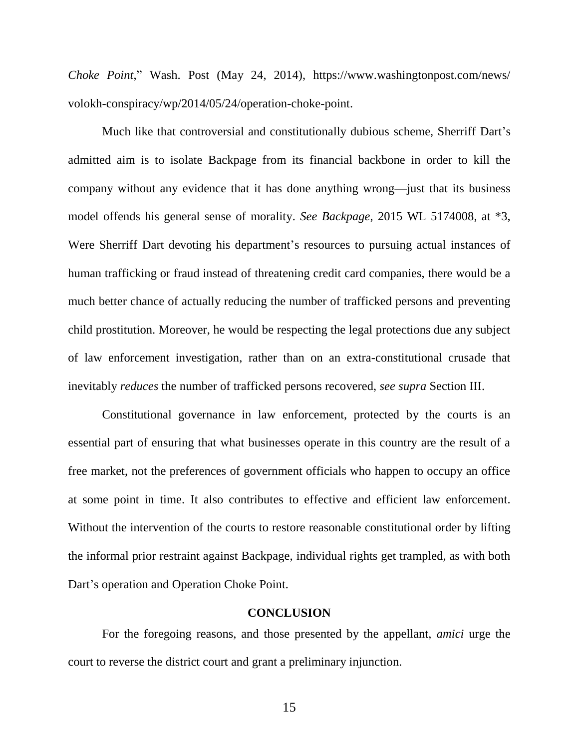*Choke Point*," Wash. Post (May 24, 2014), https://www.washingtonpost.com/news/ volokh-conspiracy/wp/2014/05/24/operation-choke-point.

Much like that controversial and constitutionally dubious scheme, Sherriff Dart's admitted aim is to isolate Backpage from its financial backbone in order to kill the company without any evidence that it has done anything wrong—just that its business model offends his general sense of morality. *See Backpage*, 2015 WL 5174008, at \*3, Were Sherriff Dart devoting his department's resources to pursuing actual instances of human trafficking or fraud instead of threatening credit card companies, there would be a much better chance of actually reducing the number of trafficked persons and preventing child prostitution. Moreover, he would be respecting the legal protections due any subject of law enforcement investigation, rather than on an extra-constitutional crusade that inevitably *reduces* the number of trafficked persons recovered, *see supra* Section III.

Constitutional governance in law enforcement, protected by the courts is an essential part of ensuring that what businesses operate in this country are the result of a free market, not the preferences of government officials who happen to occupy an office at some point in time. It also contributes to effective and efficient law enforcement. Without the intervention of the courts to restore reasonable constitutional order by lifting the informal prior restraint against Backpage, individual rights get trampled, as with both Dart's operation and Operation Choke Point.

#### **CONCLUSION**

For the foregoing reasons, and those presented by the appellant, *amici* urge the court to reverse the district court and grant a preliminary injunction.

15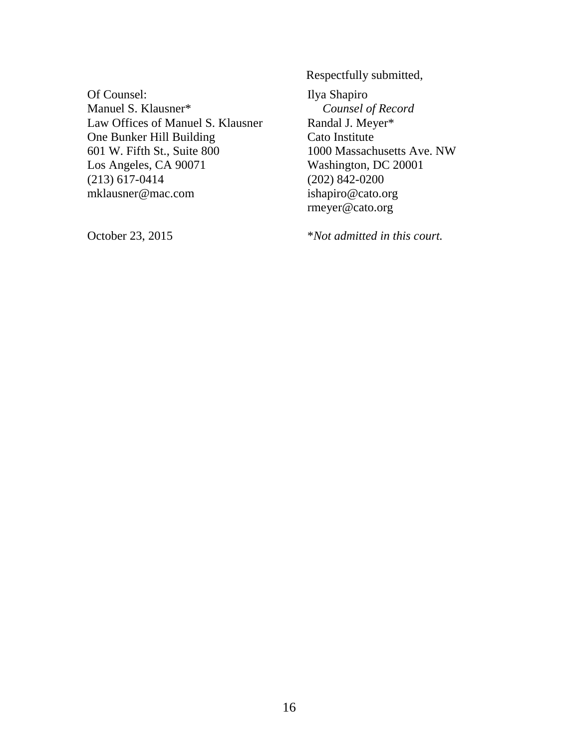Of Counsel: Manuel S. Klausner\* Law Offices of Manuel S. Klausner One Bunker Hill Building 601 W. Fifth St., Suite 800 Los Angeles, CA 90071 (213) 617-0414 mklausner@mac.com

October 23, 2015

Respectfully submitted, Ilya Shapiro *Counsel of Record* Randal J. Meyer\* Cato Institute 1000 Massachusetts Ave. NW Washington, DC 20001 (202) 842-0200 ishapiro@cato.org rmeyer@cato.org

\**Not admitted in this court.*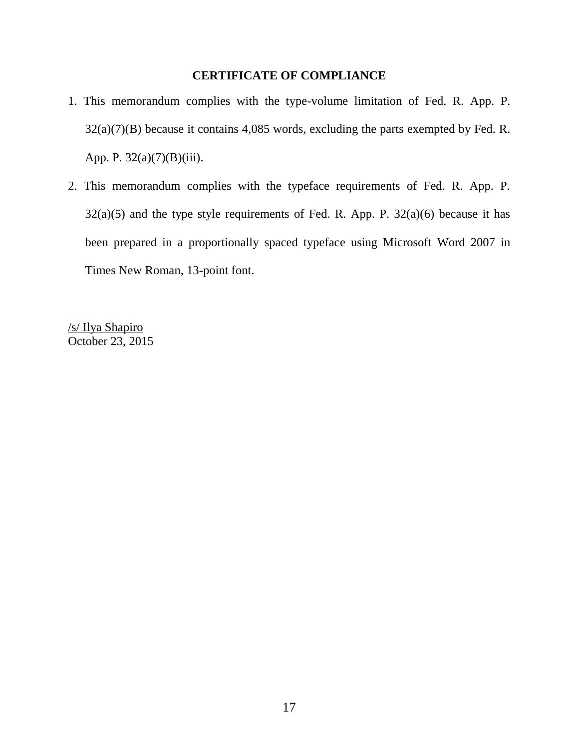## **CERTIFICATE OF COMPLIANCE**

- 1. This memorandum complies with the type-volume limitation of Fed. R. App. P. 32(a)(7)(B) because it contains 4,085 words, excluding the parts exempted by Fed. R. App. P. 32(a)(7)(B)(iii).
- 2. This memorandum complies with the typeface requirements of Fed. R. App. P.  $32(a)(5)$  and the type style requirements of Fed. R. App. P.  $32(a)(6)$  because it has been prepared in a proportionally spaced typeface using Microsoft Word 2007 in Times New Roman, 13-point font.

/s/ Ilya Shapiro October 23, 2015